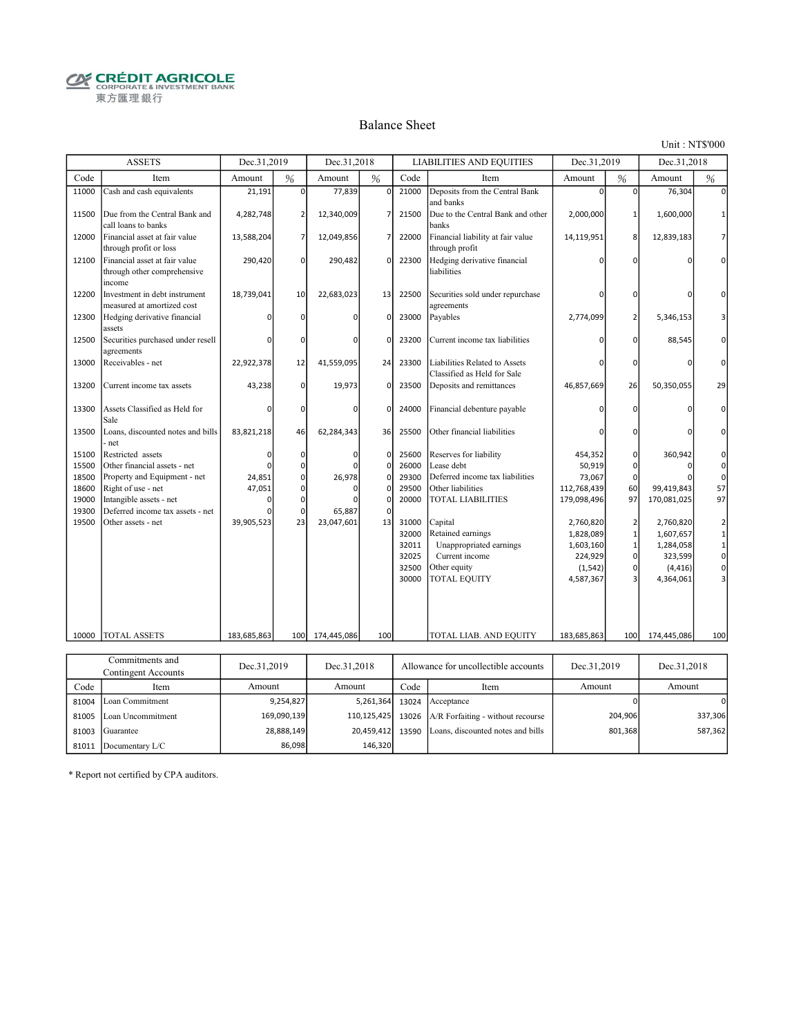**CRÉDIT AGRICOLE** 東方匯理銀行

#### Balance Sheet

Unit : NT\$'000

|                | <b>ASSETS</b>                                                          | Dec.31,2019 |                | Dec.31,2018   |               |                | <b>LIABILITIES AND EQUITIES</b>                              | Dec.31,2019       |                | Dec.31,2018  |                                             |
|----------------|------------------------------------------------------------------------|-------------|----------------|---------------|---------------|----------------|--------------------------------------------------------------|-------------------|----------------|--------------|---------------------------------------------|
| Code           | Item                                                                   | Amount      | %              | Amount        | %             | Code           | Item                                                         | Amount            | %              | Amount       | $\%$                                        |
| 11000          | Cash and cash equivalents                                              | 21,191      | $\mathbf 0$    | 77,839        | $\Omega$      | 21000          | Deposits from the Central Bank<br>and banks                  | $\Omega$          | $\Omega$       | 76,304       | $\Omega$                                    |
| 11500          | Due from the Central Bank and<br>call loans to banks                   | 4,282,748   | $\overline{2}$ | 12,340,009    | 7             | 21500          | Due to the Central Bank and other<br>banks                   | 2,000,000         | $\mathbf{1}$   | 1,600,000    |                                             |
| 12000          | Financial asset at fair value<br>through profit or loss                | 13,588,204  | 7              | 12,049,856    | 7             | 22000          | Financial liability at fair value<br>through profit          | 14,119,951        | 8              | 12,839,183   | $\overline{7}$                              |
| 12100          | Financial asset at fair value<br>through other comprehensive<br>income | 290,420     | 0              | 290,482       | $\Omega$      | 22300          | Hedging derivative financial<br>liabilities                  |                   | O              |              | $\Omega$                                    |
| 12200          | Investment in debt instrument<br>measured at amortized cost            | 18,739,041  | 10             | 22,683,023    | 13            | 22500          | Securities sold under repurchase<br>agreements               | n                 | $\Omega$       | 0            | O                                           |
| 12300          | Hedging derivative financial<br>assets                                 |             | 0              | $\Omega$      | $\Omega$      | 23000          | Payables                                                     | 2,774,099         | $\overline{2}$ | 5,346,153    | 3                                           |
| 12500          | Securities purchased under resell<br>agreements                        | n           | $\mathbf 0$    | $\Omega$      | $\Omega$      | 23200          | Current income tax liabilities                               | n                 | $\Omega$       | 88,545       | $\Omega$                                    |
| 13000          | Receivables - net                                                      | 22,922,378  | 12             | 41,559,095    | 24            | 23300          | Liabilities Related to Assets<br>Classified as Held for Sale | n                 | $\Omega$       | 0            | 0                                           |
| 13200          | Current income tax assets                                              | 43,238      | $\mathbf 0$    | 19,973        | $\Omega$      | 23500          | Deposits and remittances                                     | 46,857,669        | 26             | 50,350,055   | 29                                          |
| 13300          | Assets Classified as Held for<br>Sale                                  | $\Omega$    | $\Omega$       | $\Omega$      | $\Omega$      | 24000          | Financial debenture payable                                  |                   | $\Omega$       |              | $\Omega$                                    |
| 13500          | Loans, discounted notes and bills<br>net                               | 83,821,218  | 46             | 62,284,343    | 36            | 25500          | Other financial liabilities                                  |                   | $\Omega$       |              | 0                                           |
| 15100<br>15500 | Restricted assets<br>Other financial assets - net                      | ŋ<br>n      | 0<br>0         | $\Omega$<br>n | 0<br>$\Omega$ | 25600<br>26000 | Reserves for liability<br>Lease debt                         | 454,352<br>50,919 | 0<br>0         | 360,942<br>0 | 0<br>$\pmb{0}$                              |
| 18500          | Property and Equipment - net                                           | 24,851      | 0              | 26,978        | $\Omega$      | 29300          | Deferred income tax liabilities                              | 73,067            | $\mathbf 0$    |              | $\mathbf 0$                                 |
| 18600          | Right of use - net                                                     | 47,051      | $\Omega$       |               |               | 29500          | Other liabilities                                            | 112,768,439       | 60             | 99,419,843   | 57                                          |
| 19000          | Intangible assets - net                                                |             | 0              |               | ŋ             | 20000          | <b>TOTAL LIABILITIES</b>                                     | 179,098,496       | 97             | 170,081,025  | 97                                          |
| 19300          | Deferred income tax assets - net                                       |             | $\mathbf 0$    | 65,887        |               |                |                                                              |                   |                |              |                                             |
| 19500          | Other assets - net                                                     | 39,905,523  | 23             | 23,047,601    | 13            | 31000          | Capital                                                      | 2,760,820         | $\overline{2}$ | 2,760,820    |                                             |
|                |                                                                        |             |                |               |               | 32000          | Retained earnings                                            | 1,828,089         | $\overline{1}$ | 1,607,657    | $\begin{bmatrix} 2 \\ 1 \\ 1 \end{bmatrix}$ |
|                |                                                                        |             |                |               |               | 32011          | Unappropriated earnings                                      | 1,603,160         | $\mathbf 1$    | 1,284,058    |                                             |
|                |                                                                        |             |                |               |               | 32025          | Current income                                               | 224,929           | 0              | 323,599      | $\circ$                                     |
|                |                                                                        |             |                |               |               | 32500          | Other equity                                                 | (1, 542)          | $\mathbf 0$    | (4, 416)     | $\circ$                                     |
|                |                                                                        |             |                |               |               | 30000          | <b>TOTAL EQUITY</b>                                          | 4,587,367         | R              | 4,364,061    | 3                                           |
|                |                                                                        |             |                |               |               |                |                                                              |                   |                |              |                                             |
| 10000          | TOTAL ASSETS                                                           | 183,685,863 | 100            | 174,445,086   | 100           |                | TOTAL LIAB. AND EQUITY                                       | 183,685,863       | 100            | 174,445,086  | 100                                         |
|                |                                                                        |             |                |               |               |                |                                                              |                   |                |              |                                             |
|                | Commitments and                                                        | Dec 31 2010 |                | Dec 31.2018   |               |                | Allowance for uncollectible accounts                         | Dec 31 2010       |                | Dec 31 2018  |                                             |

| Commitments and<br>Contingent Accounts |                   | Dec.31,2019 | Dec.31,2018<br>Allowance for uncollectible accounts |      | Dec.31.2019                                           | Dec.31,2018 |         |
|----------------------------------------|-------------------|-------------|-----------------------------------------------------|------|-------------------------------------------------------|-------------|---------|
| Code                                   | Item              | Amount      | Amount                                              | Code | Item                                                  | Amount      | Amount  |
| 81004                                  | Loan Commitment   | 9,254,827   | 5,261,364                                           |      | $13024$ Acceptance                                    |             | 0       |
| 81005                                  | Loan Uncommitment | 169,090,139 |                                                     |      | 110,125,425 13026 $A/R$ Forfaiting - without recourse | 204,906     | 337,306 |
| 81003                                  | Guarantee         | 28,888,149  |                                                     |      | 20,459,412 13590 Loans, discounted notes and bills    | 801,368     | 587,362 |
| 81011                                  | Documentary L/C   | 86.098      | 146,320                                             |      |                                                       |             |         |

\* Report not certified by CPA auditors.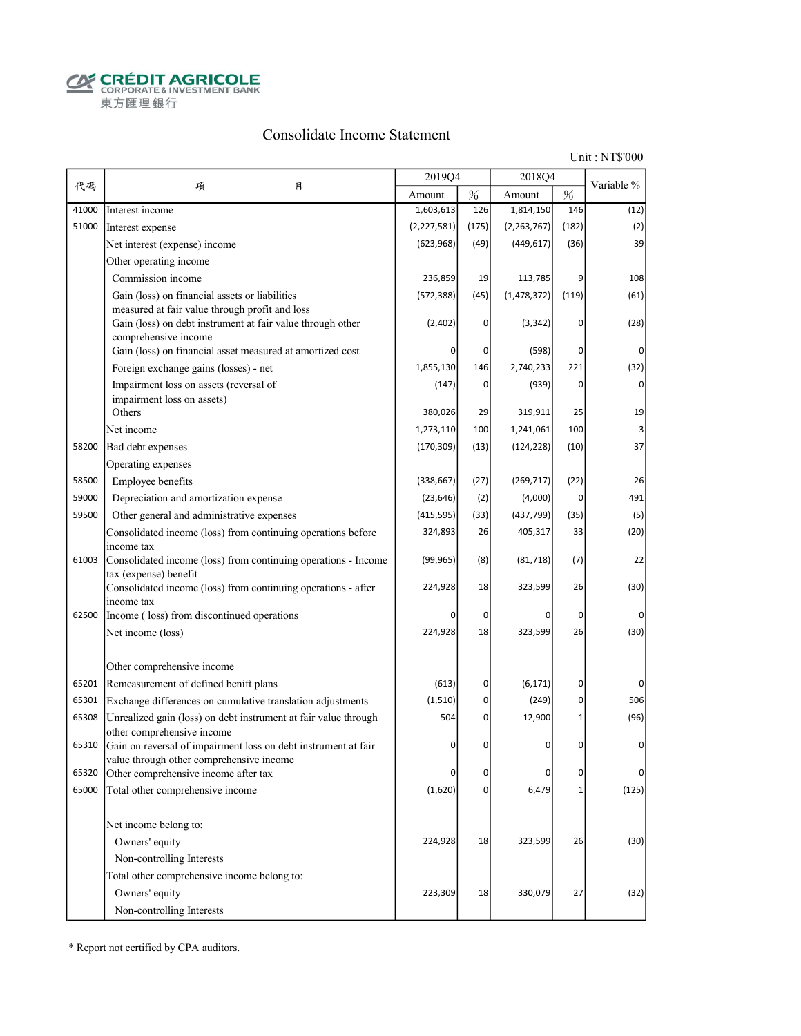**CRÉDIT AGRICOLE** 東方匯理銀行

#### Consolidate Income Statement

Unit : NT\$'000

| 代碼<br>項                                                                                                             |   |             |                | 2018Q4        |                |                |
|---------------------------------------------------------------------------------------------------------------------|---|-------------|----------------|---------------|----------------|----------------|
|                                                                                                                     | 目 | Amount      | $\%$           | Amount        | $\%$           | Variable %     |
| Interest income<br>41000                                                                                            |   | 1,603,613   | 126            | 1,814,150     | 146            | (12)           |
| 51000<br>Interest expense                                                                                           |   | (2,227,581) | (175)          | (2, 263, 767) | (182)          | (2)            |
| Net interest (expense) income                                                                                       |   | (623, 968)  | (49)           | (449, 617)    | (36)           | 39             |
| Other operating income                                                                                              |   |             |                |               |                |                |
| Commission income                                                                                                   |   | 236,859     | 19             | 113,785       | 9              | 108            |
| Gain (loss) on financial assets or liabilities                                                                      |   | (572, 388)  | (45)           | (1, 478, 372) | (119)          | (61)           |
| measured at fair value through profit and loss<br>Gain (loss) on debt instrument at fair value through other        |   | (2,402)     | $\Omega$       | (3, 342)      | 0              | (28)           |
| comprehensive income                                                                                                |   |             | 0              |               | 0              | $\Omega$       |
| Gain (loss) on financial asset measured at amortized cost                                                           |   |             |                | (598)         |                |                |
| Foreign exchange gains (losses) - net                                                                               |   | 1,855,130   | 146            | 2,740,233     | 221            | (32)           |
| Impairment loss on assets (reversal of<br>impairment loss on assets)                                                |   | (147)       | 0              | (939)         | 0              | $\overline{0}$ |
| Others                                                                                                              |   | 380,026     | 29             | 319,911       | 25             | 19             |
| Net income                                                                                                          |   | 1,273,110   | 100            | 1,241,061     | 100            |                |
| 58200<br>Bad debt expenses                                                                                          |   | (170, 309)  | (13)           | (124, 228)    | (10)           | 37             |
| Operating expenses                                                                                                  |   |             |                |               |                |                |
| Employee benefits<br>58500                                                                                          |   | (338, 667)  | (27)           | (269, 717)    | (22)           | 26             |
| 59000<br>Depreciation and amortization expense                                                                      |   | (23, 646)   | (2)            | (4,000)       | 0              | 491            |
| 59500<br>Other general and administrative expenses                                                                  |   | (415, 595)  | (33)           | (437, 799)    | (35)           | (5)            |
| Consolidated income (loss) from continuing operations before                                                        |   | 324,893     | 26             | 405,317       | 33             | (20)           |
| income tax                                                                                                          |   |             |                |               |                |                |
| Consolidated income (loss) from continuing operations - Income<br>61003<br>tax (expense) benefit                    |   | (99, 965)   | (8)            | (81, 718)     | (7)            | 22             |
| Consolidated income (loss) from continuing operations - after                                                       |   | 224,928     | 18             | 323,599       | 26             | (30)           |
| income tax<br>62500                                                                                                 |   |             | 0              | 0             | 0              |                |
| Income (loss) from discontinued operations                                                                          |   | 224,928     |                |               |                |                |
| Net income (loss)                                                                                                   |   |             | 18             | 323,599       | 26             | (30)           |
| Other comprehensive income                                                                                          |   |             |                |               |                |                |
| Remeasurement of defined benift plans<br>65201                                                                      |   | (613)       | $\sigma$       | (6, 171)      | 0              | $\Omega$       |
| Exchange differences on cumulative translation adjustments<br>65301                                                 |   | (1,510)     | $\overline{0}$ | (249)         | 0              | 506            |
| Unrealized gain (loss) on debt instrument at fair value through<br>65308<br>other comprehensive income              |   | 504         | 0              | 12,900        | $\overline{1}$ | (96)           |
| Gain on reversal of impairment loss on debt instrument at fair<br>65310<br>value through other comprehensive income |   | $\Omega$    | 0              | 0             | 0              | $\Omega$       |
| Other comprehensive income after tax<br>65320                                                                       |   | n           | 0              | 0             | 0              | $\Omega$       |
| 65000<br>Total other comprehensive income                                                                           |   | (1,620)     | $\overline{0}$ | 6,479         | $\mathbf 1$    | (125)          |
| Net income belong to:                                                                                               |   |             |                |               |                |                |
| Owners' equity                                                                                                      |   | 224,928     | 18             | 323,599       | 26             | (30)           |
| Non-controlling Interests                                                                                           |   |             |                |               |                |                |
| Total other comprehensive income belong to:                                                                         |   |             |                |               |                |                |
| Owners' equity                                                                                                      |   | 223,309     | 18             | 330,079       | 27             | (32)           |
| Non-controlling Interests                                                                                           |   |             |                |               |                |                |

\* Report not certified by CPA auditors.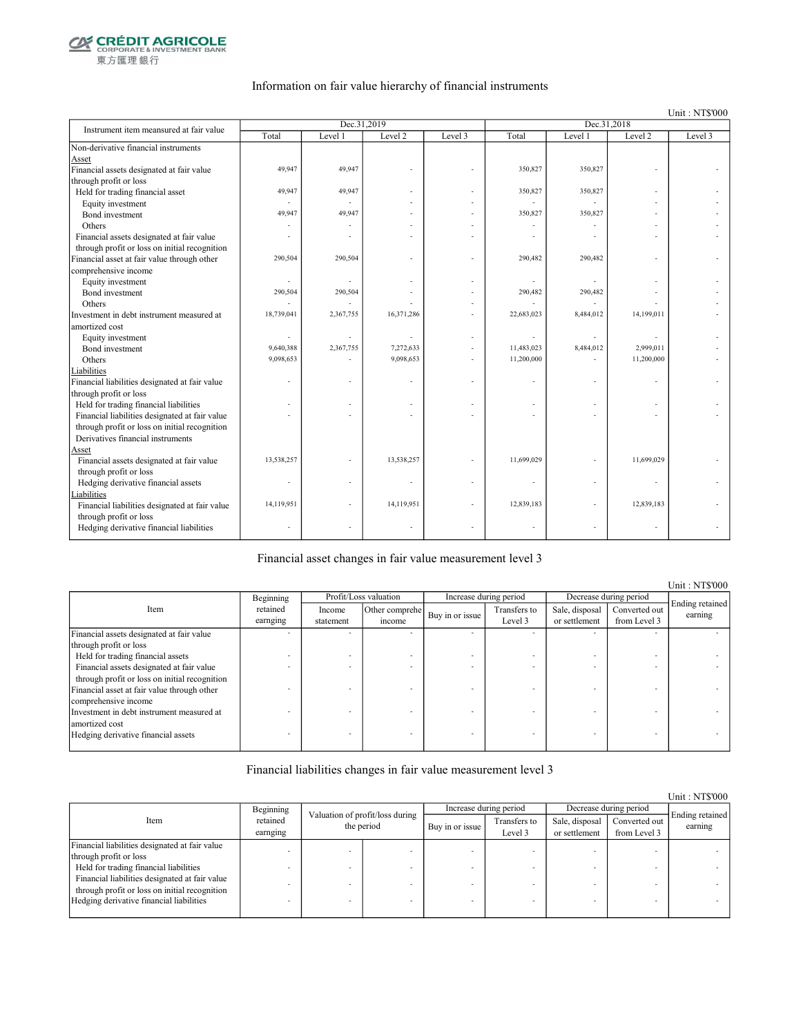

東方匯理銀行

#### Information on fair value hierarchy of financial instruments

Unit : NT\$'000

| Instrument item meansured at fair value        |            | Dec.31,2019 |            |         | Dec.31,2018 |           |                |         |
|------------------------------------------------|------------|-------------|------------|---------|-------------|-----------|----------------|---------|
|                                                | Total      | Level 1     | Level 2    | Level 3 | Total       | Level 1   | Level 2        | Level 3 |
| Non-derivative financial instruments           |            |             |            |         |             |           |                |         |
| Asset                                          |            |             |            |         |             |           |                |         |
| Financial assets designated at fair value      | 49,947     | 49,947      |            |         | 350,827     | 350,827   |                |         |
| through profit or loss                         |            |             |            |         |             |           |                |         |
| Held for trading financial asset               | 49,947     | 49,947      |            |         | 350,827     | 350,827   |                |         |
| Equity investment                              |            |             |            |         |             |           |                |         |
| Bond investment                                | 49,947     | 49,947      |            |         | 350,827     | 350,827   |                |         |
| Others                                         |            |             |            |         |             |           |                |         |
| Financial assets designated at fair value      |            |             |            |         |             |           |                |         |
| through profit or loss on initial recognition  |            |             |            |         |             |           |                |         |
| Financial asset at fair value through other    | 290,504    | 290,504     |            |         | 290,482     | 290,482   |                |         |
| comprehensive income                           |            |             |            |         |             |           |                |         |
| Equity investment                              | ٠          |             |            |         |             |           |                |         |
| Bond investment                                | 290,504    | 290,504     |            |         | 290,482     | 290,482   |                |         |
| Others                                         |            |             |            |         |             |           |                |         |
| Investment in debt instrument measured at      | 18,739,041 | 2,367,755   | 16,371,286 |         | 22,683,023  | 8,484,012 | 14,199,011     |         |
| amortized cost                                 |            |             |            |         |             |           |                |         |
| Equity investment                              | ä,         |             |            | ÷       |             |           |                |         |
| Bond investment                                | 9,640,388  | 2,367,755   | 7,272,633  |         | 11,483,023  | 8,484,012 | 2,999,011      |         |
| Others                                         | 9,098,653  |             | 9,098,653  |         | 11,200,000  |           | 11,200,000     |         |
| Liabilities                                    |            |             |            |         |             |           |                |         |
| Financial liabilities designated at fair value |            |             |            |         |             |           |                |         |
| through profit or loss                         |            |             |            |         |             |           |                |         |
| Held for trading financial liabilities         |            |             |            |         |             |           |                |         |
| Financial liabilities designated at fair value |            |             |            |         |             |           |                |         |
| through profit or loss on initial recognition  |            |             |            |         |             |           |                |         |
| Derivatives financial instruments              |            |             |            |         |             |           |                |         |
| Asset                                          |            |             |            |         |             |           |                |         |
| Financial assets designated at fair value      | 13,538,257 |             | 13,538,257 |         | 11,699,029  |           | 11,699,029     |         |
| through profit or loss                         |            |             |            |         |             |           |                |         |
| Hedging derivative financial assets            |            |             |            |         |             |           |                |         |
| Liabilities                                    |            |             |            |         |             |           |                |         |
| Financial liabilities designated at fair value | 14,119,951 |             | 14,119,951 |         | 12,839,183  |           | 12,839,183     |         |
| through profit or loss                         |            |             |            |         |             |           |                |         |
| Hedging derivative financial liabilities       |            |             |            |         |             |           | $\overline{a}$ |         |
|                                                |            |             |            |         |             |           |                |         |

Financial asset changes in fair value measurement level 3

Income statement Other comprehe  $\begin{array}{c|c}\n\text{er complete} \\
\text{if the same line} \\
\text{if the same line} \\
\end{array}$ Level 3 Sale, disposal or settlement Converted out from Level 3 Financial assets designated at fair value through profit or loss - - - - - - - - Held for trading financial assets  $\blacksquare$ <br>Financial assets designated at fair value Financial assets designated at fair value through profit or loss on initial recognition - - - - - - - - Financial asset at fair value through other comprehensive income - - - - - - - - Investment in debt instrument measured at amortized cost - - - - - - - - Hedging derivative financial assets Ending retained earning Beginning retained earnging Item Profit/Loss valuation Increase during period Decrease during period

Financial liabilities changes in fair value measurement level 3

|                                                |                      |                                               |  |                        |                         |                                 |                               | Unit: NT\$000              |
|------------------------------------------------|----------------------|-----------------------------------------------|--|------------------------|-------------------------|---------------------------------|-------------------------------|----------------------------|
|                                                | Beginning            |                                               |  | Increase during period | Decrease during period  |                                 |                               |                            |
| Item                                           | retained<br>earnging | Valuation of profit/loss during<br>the period |  | Buy in or issue        | Transfers to<br>Level 3 | Sale, disposal<br>or settlement | Converted out<br>from Level 3 | Ending retained<br>earning |
| Financial liabilities designated at fair value |                      |                                               |  |                        |                         |                                 |                               |                            |
| through profit or loss                         |                      |                                               |  |                        |                         |                                 |                               |                            |
| Held for trading financial liabilities         |                      |                                               |  |                        |                         |                                 |                               |                            |
| Financial liabilities designated at fair value |                      |                                               |  |                        |                         |                                 |                               |                            |
| through profit or loss on initial recognition  |                      |                                               |  |                        |                         |                                 |                               |                            |
| Hedging derivative financial liabilities       |                      |                                               |  |                        |                         |                                 | -                             |                            |
|                                                |                      |                                               |  |                        |                         |                                 |                               |                            |

Unit : NT\$'000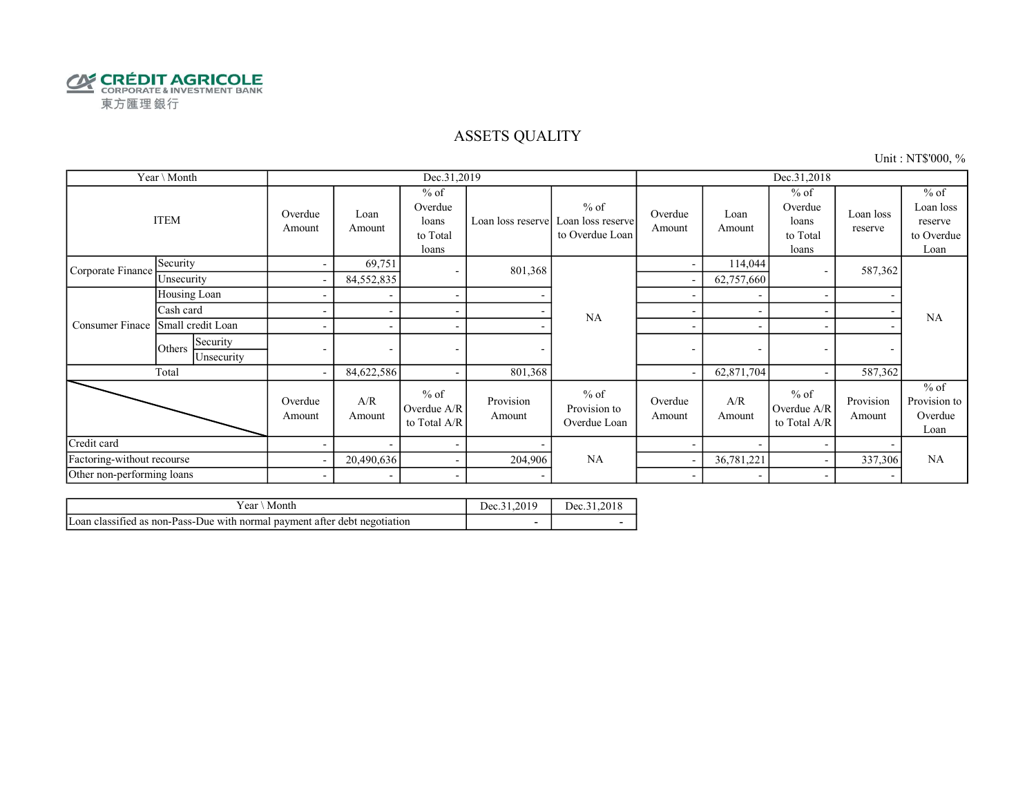

### ASSETS QUALITY

Unit : NT\$'000, %

|                            | Year \ Month                     |                          |                          | Dec.31,2019                                     |                     |                                                | Dec.31,2018              |                          |                                                 |                      |                                                      |
|----------------------------|----------------------------------|--------------------------|--------------------------|-------------------------------------------------|---------------------|------------------------------------------------|--------------------------|--------------------------|-------------------------------------------------|----------------------|------------------------------------------------------|
| <b>ITEM</b>                |                                  | Overdue<br>Amount        | Loan<br>Amount           | $%$ of<br>Overdue<br>loans<br>to Total<br>loans | Loan loss reserve   | $%$ of<br>Loan loss reserve<br>to Overdue Loan | Overdue<br>Amount        | Loan<br>Amount           | $%$ of<br>Overdue<br>loans<br>to Total<br>loans | Loan loss<br>reserve | $%$ of<br>Loan loss<br>reserve<br>to Overdue<br>Loan |
| Corporate Finance          | Security                         | $\sim$                   | 69,751                   | $\overline{\phantom{a}}$                        | 801,368             |                                                | ۰                        | 114,044                  |                                                 | 587,362              |                                                      |
|                            | Unsecurity                       | $\sim$                   | 84,552,835               |                                                 |                     |                                                |                          | 62,757,660               |                                                 |                      |                                                      |
|                            | Housing Loan                     | $\overline{\phantom{a}}$ | $\overline{\phantom{a}}$ | $\sim$                                          |                     |                                                |                          |                          |                                                 | -                    |                                                      |
| Consumer Finace            | Cash card                        |                          |                          | $\sim$                                          |                     | NA                                             |                          |                          |                                                 |                      | <b>NA</b>                                            |
|                            | Small credit Loan                |                          | $\overline{\phantom{a}}$ | $\sim$                                          |                     | $\blacksquare$                                 | $\overline{\phantom{a}}$ |                          |                                                 |                      |                                                      |
|                            | Security<br>Others<br>Unsecurity | $\overline{\phantom{0}}$ | $\sim$                   | $\overline{\phantom{a}}$                        |                     |                                                | ۰                        | ۰                        | ۰                                               | ۰                    |                                                      |
|                            | Total                            | $\sim$                   | 84,622,586               | $\sim$                                          | 801,368             |                                                |                          | 62,871,704               |                                                 | 587,362              |                                                      |
|                            |                                  | Overdue<br>Amount        | A/R<br>Amount            | $%$ of<br>Overdue A/R<br>to Total A/R           | Provision<br>Amount | $%$ of<br>Provision to<br>Overdue Loan         | Overdue<br>Amount        | A/R<br>Amount            | $%$ of<br>Overdue A/R<br>to Total A/R           | Provision<br>Amount  | $%$ of<br>Provision to<br>Overdue<br>Loan            |
| Credit card                |                                  |                          | $\overline{\phantom{a}}$ | $\sim$                                          |                     |                                                |                          |                          |                                                 |                      |                                                      |
| Factoring-without recourse |                                  | $\overline{\phantom{a}}$ | 20,490,636               | $\sim$                                          | 204,906             | NA                                             |                          | 36,781,221               |                                                 | 337,306              | NA                                                   |
| Other non-performing loans |                                  | $\sim$                   | $\sim$                   | $\sim$                                          |                     |                                                | $\overline{\phantom{a}}$ | $\overline{\phantom{0}}$ |                                                 | ٠                    |                                                      |

| r ear<br>Month                                                             | Dec.31.2019 | Dec.31.2018 |
|----------------------------------------------------------------------------|-------------|-------------|
| Loan classified as non-Pass-Due with normal payment after debt negotiation |             |             |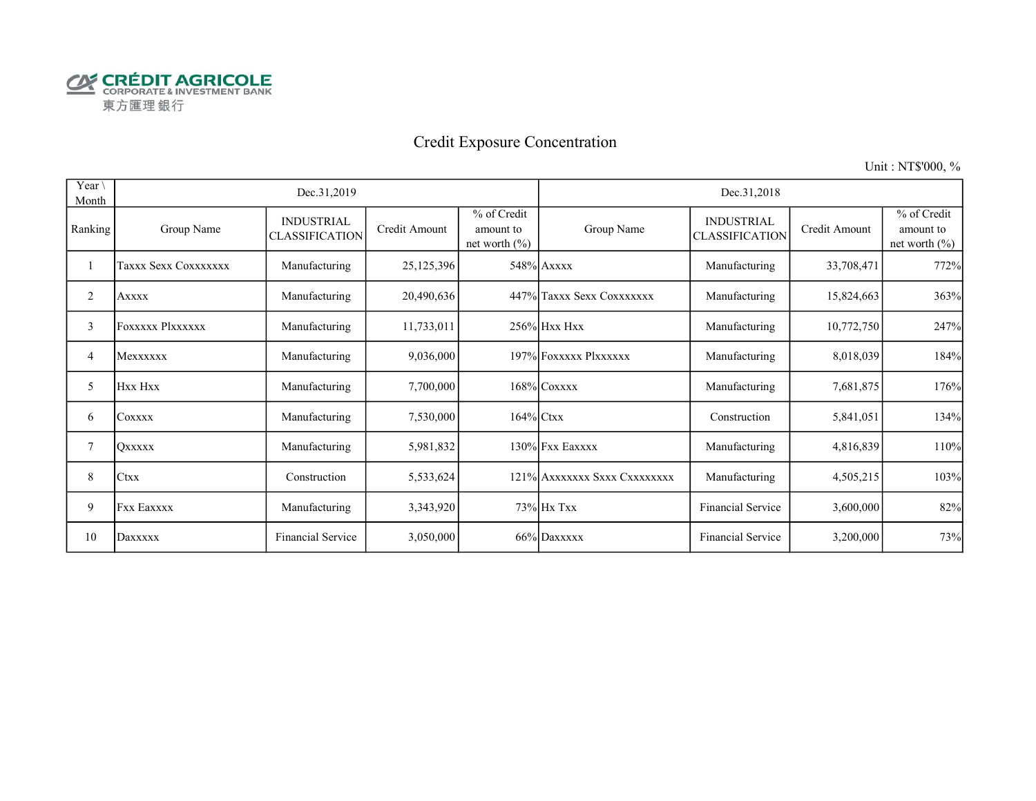

# Credit Exposure Concentration

Unit : NT\$'000, %

| Year \<br>Month |                         | Dec.31,2019                                |               |                                               | Dec.31,2018                  |                                            |               |                                               |  |  |
|-----------------|-------------------------|--------------------------------------------|---------------|-----------------------------------------------|------------------------------|--------------------------------------------|---------------|-----------------------------------------------|--|--|
| Ranking         | Group Name              | <b>INDUSTRIAL</b><br><b>CLASSIFICATION</b> | Credit Amount | % of Credit<br>amount to<br>net worth $(\% )$ | Group Name                   | <b>INDUSTRIAL</b><br><b>CLASSIFICATION</b> | Credit Amount | % of Credit<br>amount to<br>net worth $(\% )$ |  |  |
|                 | Taxxx Sexx Coxxxxxxx    | Manufacturing                              | 25,125,396    |                                               | 548% Axxxx                   | Manufacturing                              | 33,708,471    | 772%                                          |  |  |
| 2               | <b>Axxxx</b>            | Manufacturing                              | 20,490,636    |                                               | 447% Taxxx Sexx Coxxxxxxx    | Manufacturing                              | 15,824,663    | 363%                                          |  |  |
| 3               | <b>Foxxxxx Plxxxxxx</b> | Manufacturing                              | 11,733,011    |                                               | 256% Hxx Hxx                 | Manufacturing                              | 10,772,750    | 247%                                          |  |  |
| 4               | Mexxxxxx                | Manufacturing                              | 9,036,000     |                                               | 197% FOXXXXX Plxxxxxx        | Manufacturing                              | 8,018,039     | 184%                                          |  |  |
| 5               | Hxx Hxx                 | Manufacturing                              | 7,700,000     |                                               | 168% COXXXX                  | Manufacturing                              | 7,681,875     | 176%                                          |  |  |
| 6               | <b>COXXXX</b>           | Manufacturing                              | 7,530,000     | $164\%$ Ctxx                                  |                              | Construction                               | 5,841,051     | 134%                                          |  |  |
| 7               | <b>OXXXXX</b>           | Manufacturing                              | 5,981,832     |                                               | 130% Fxx Eaxxxx              | Manufacturing                              | 4,816,839     | 110%                                          |  |  |
| 8               | Ctxx                    | Construction                               | 5,533,624     |                                               | 121% AXXXXXXX SXXX CXXXXXXXX | Manufacturing                              | 4,505,215     | 103%                                          |  |  |
| 9               | <b>Fxx Eaxxxx</b>       | Manufacturing                              | 3,343,920     |                                               | 73% Hx Txx                   | Financial Service                          | 3,600,000     | 82%                                           |  |  |
| 10              | Daxxxxx                 | Financial Service                          | 3,050,000     |                                               | 66% Daxxxxx                  | Financial Service                          | 3,200,000     | 73%                                           |  |  |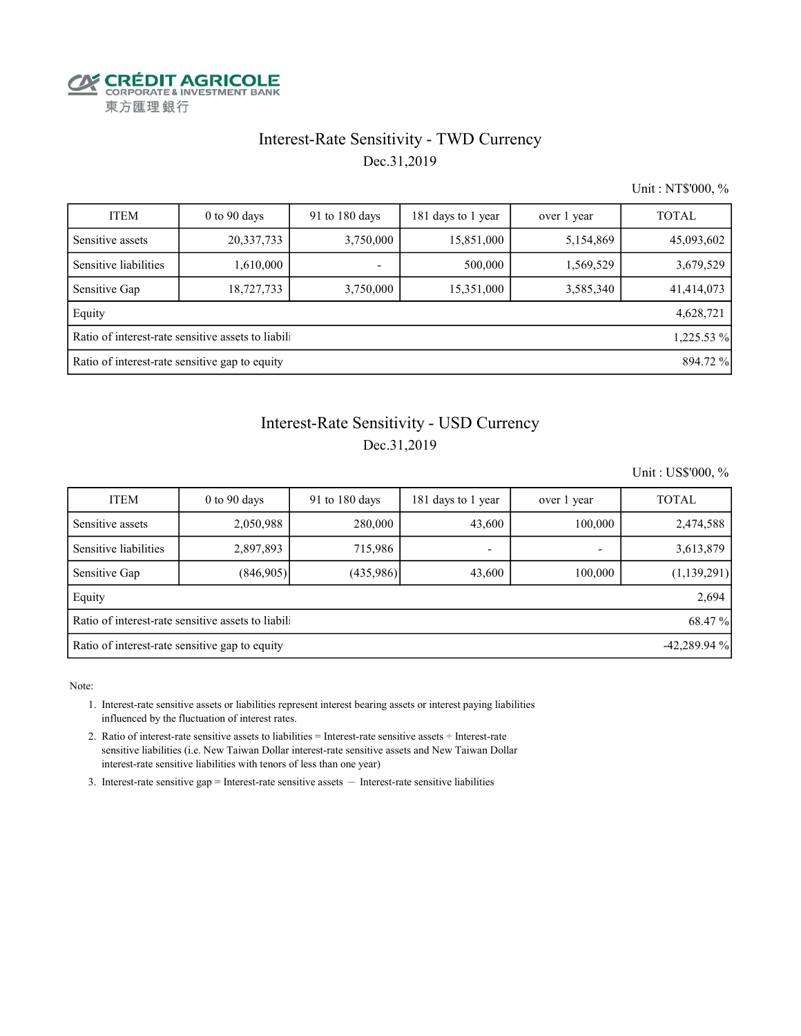

### Interest-Rate Sensitivity - TWD Currency Dec.31,2019

Unit : NT\$'000, %

| <b>ITEM</b>                                                | $0$ to 90 days                                                   | 91 to 180 days | 181 days to 1 year | over 1 year | <b>TOTAL</b> |  |  |  |  |  |
|------------------------------------------------------------|------------------------------------------------------------------|----------------|--------------------|-------------|--------------|--|--|--|--|--|
| Sensitive assets                                           | 20,337,733                                                       | 3,750,000      | 15,851,000         | 5,154,869   | 45,093,602   |  |  |  |  |  |
| Sensitive liabilities                                      | 1,610,000                                                        |                | 500,000            | 1,569,529   | 3,679,529    |  |  |  |  |  |
| Sensitive Gap                                              | 18,727,733                                                       | 3,750,000      | 15,351,000         | 3,585,340   | 41,414,073   |  |  |  |  |  |
| Equity                                                     |                                                                  |                |                    |             | 4,628,721    |  |  |  |  |  |
|                                                            | Ratio of interest-rate sensitive assets to liabili<br>1,225.53 % |                |                    |             |              |  |  |  |  |  |
| Ratio of interest-rate sensitive gap to equity<br>894.72 % |                                                                  |                |                    |             |              |  |  |  |  |  |

#### Interest-Rate Sensitivity - USD Currency

#### Dec.31,2019

Unit : US\$'000, %

| <b>ITEM</b>                                                     | $0$ to $90$ days | 91 to $180$ days | 181 days to 1 year | over 1 year | <b>TOTAL</b>  |  |  |  |  |  |  |
|-----------------------------------------------------------------|------------------|------------------|--------------------|-------------|---------------|--|--|--|--|--|--|
| Sensitive assets                                                | 2,050,988        | 280,000          | 43,600             | 100,000     | 2,474,588     |  |  |  |  |  |  |
| Sensitive liabilities                                           | 2,897,893        | 715,986          | -                  |             | 3,613,879     |  |  |  |  |  |  |
| Sensitive Gap                                                   | (846,905)        | (435,986)        | 43,600             | 100,000     | (1, 139, 291) |  |  |  |  |  |  |
| Equity                                                          | 2,694            |                  |                    |             |               |  |  |  |  |  |  |
| Ratio of interest-rate sensitive assets to liabili<br>68.47 %   |                  |                  |                    |             |               |  |  |  |  |  |  |
| Ratio of interest-rate sensitive gap to equity<br>$-42,289.94%$ |                  |                  |                    |             |               |  |  |  |  |  |  |

Note:

 1. Interest-rate sensitive assets or liabilities represent interest bearing assets or interest paying liabilities influenced by the fluctuation of interest rates.

 2. Ratio of interest-rate sensitive assets to liabilities = Interest-rate sensitive assets ÷ Interest-rate sensitive liabilities (i.e. New Taiwan Dollar interest-rate sensitive assets and New Taiwan Dollar interest-rate sensitive liabilities with tenors of less than one year)

3. Interest-rate sensitive gap = Interest-rate sensitive assets  $-$  Interest-rate sensitive liabilities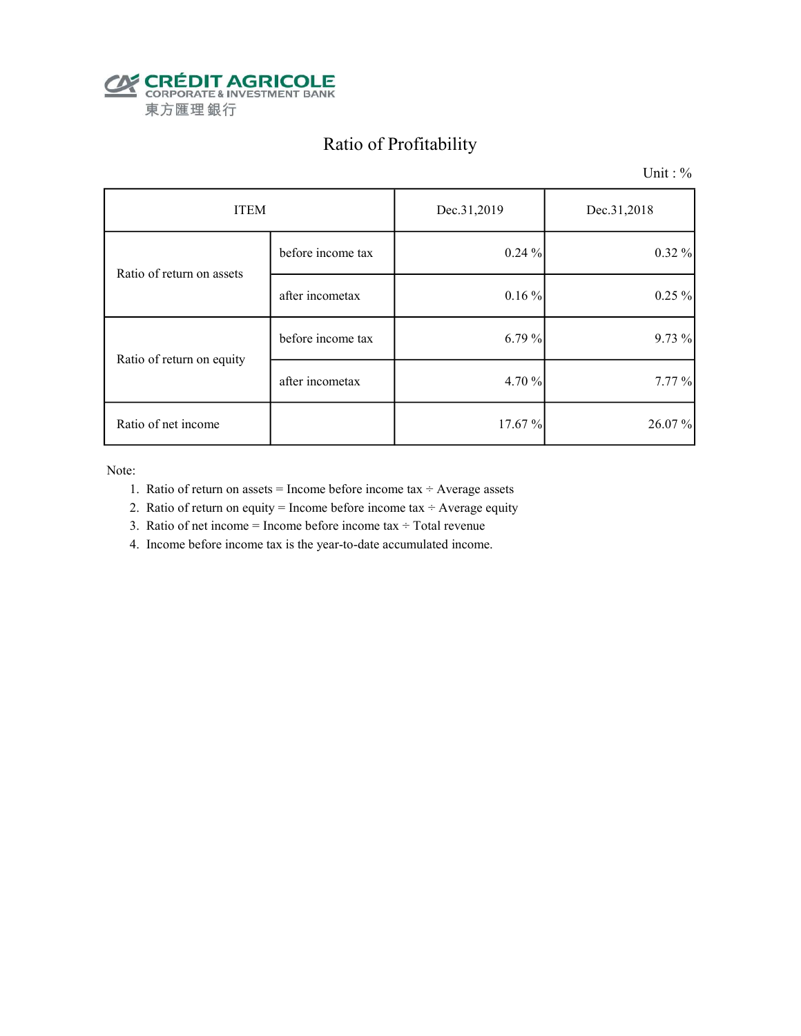

# Ratio of Profitability

Unit : %

| <b>ITEM</b>               |                   | Dec.31,2019 | Dec.31,2018 |  |
|---------------------------|-------------------|-------------|-------------|--|
| Ratio of return on assets | before income tax | 0.24%       | 0.32%       |  |
|                           | after incometax   | $0.16\%$    | $0.25 \%$   |  |
| Ratio of return on equity | before income tax | 6.79 %      | 9.73 %      |  |
|                           | after incometax   | 4.70 %      | 7.77 %      |  |
| Ratio of net income       |                   | 17.67%      | 26.07 %     |  |

Note:

- 1. Ratio of return on assets = Income before income tax  $\div$  Average assets
- 2. Ratio of return on equity = Income before income tax  $\div$  Average equity
- 3. Ratio of net income = Income before income tax  $\div$  Total revenue
- 4. Income before income tax is the year-to-date accumulated income.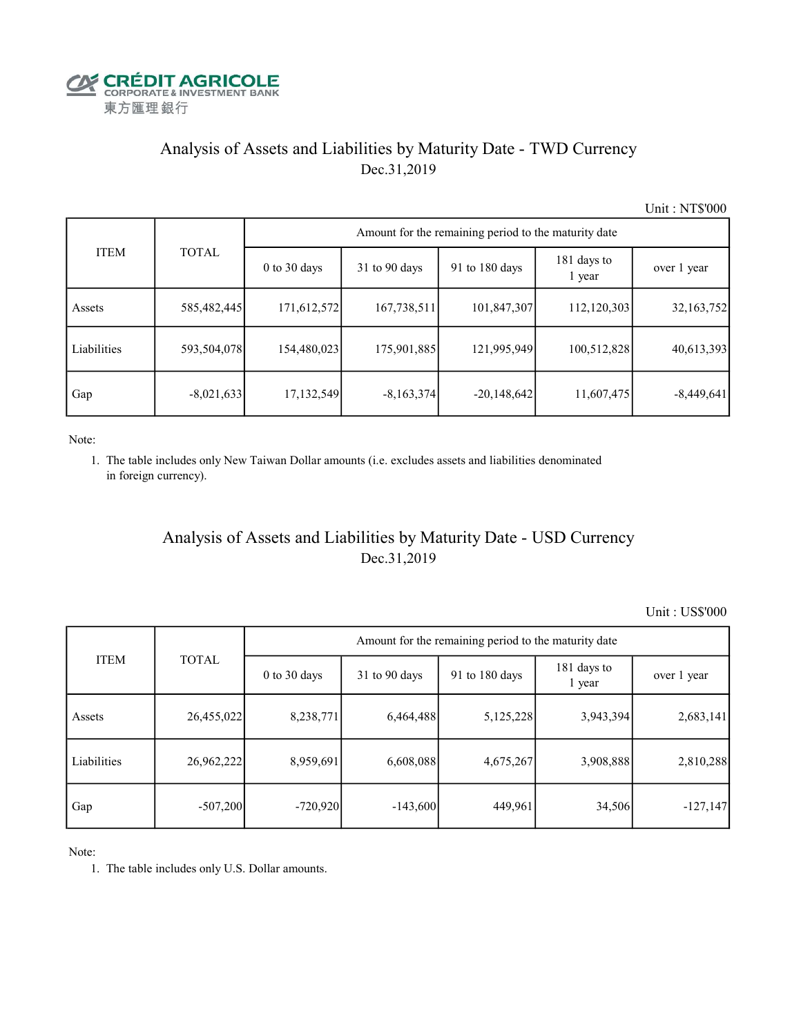

### Analysis of Assets and Liabilities by Maturity Date - TWD Currency Dec.31,2019

Unit : NT\$'000

|             |              | Amount for the remaining period to the maturity date |                 |                |                       |              |  |  |  |  |
|-------------|--------------|------------------------------------------------------|-----------------|----------------|-----------------------|--------------|--|--|--|--|
| <b>ITEM</b> | <b>TOTAL</b> | $0$ to $30$ days                                     | $31$ to 90 days | 91 to 180 days | 181 days to<br>1 year | over 1 year  |  |  |  |  |
| Assets      | 585,482,445  | 171,612,572                                          | 167,738,511     | 101,847,307    | 112,120,303           | 32,163,752   |  |  |  |  |
| Liabilities | 593,504,078  | 154,480,023                                          | 175,901,885     | 121,995,949    | 100,512,828           | 40,613,393   |  |  |  |  |
| Gap         | $-8,021,633$ | 17,132,549                                           | $-8,163,374$    | $-20,148,642$  | 11,607,475            | $-8,449,641$ |  |  |  |  |

Note:

 1. The table includes only New Taiwan Dollar amounts (i.e. excludes assets and liabilities denominated in foreign currency).

### Analysis of Assets and Liabilities by Maturity Date - USD Currency Dec.31,2019

Unit : US\$'000

|             | <b>TOTAL</b> | Amount for the remaining period to the maturity date |                 |                |                       |             |  |  |  |
|-------------|--------------|------------------------------------------------------|-----------------|----------------|-----------------------|-------------|--|--|--|
| <b>ITEM</b> |              | $0$ to $30$ days                                     | $31$ to 90 days | 91 to 180 days | 181 days to<br>1 year | over 1 year |  |  |  |
| Assets      | 26,455,022   | 8,238,771                                            | 6,464,488       | 5,125,228      | 3,943,394             | 2,683,141   |  |  |  |
| Liabilities | 26,962,222   | 8,959,691                                            | 6,608,088       | 4,675,267      | 3,908,888             | 2,810,288   |  |  |  |
| Gap         | $-507,200$   | $-720,920$                                           | $-143,600$      | 449,961        | 34,506                | $-127,147$  |  |  |  |

Note:

1. The table includes only U.S. Dollar amounts.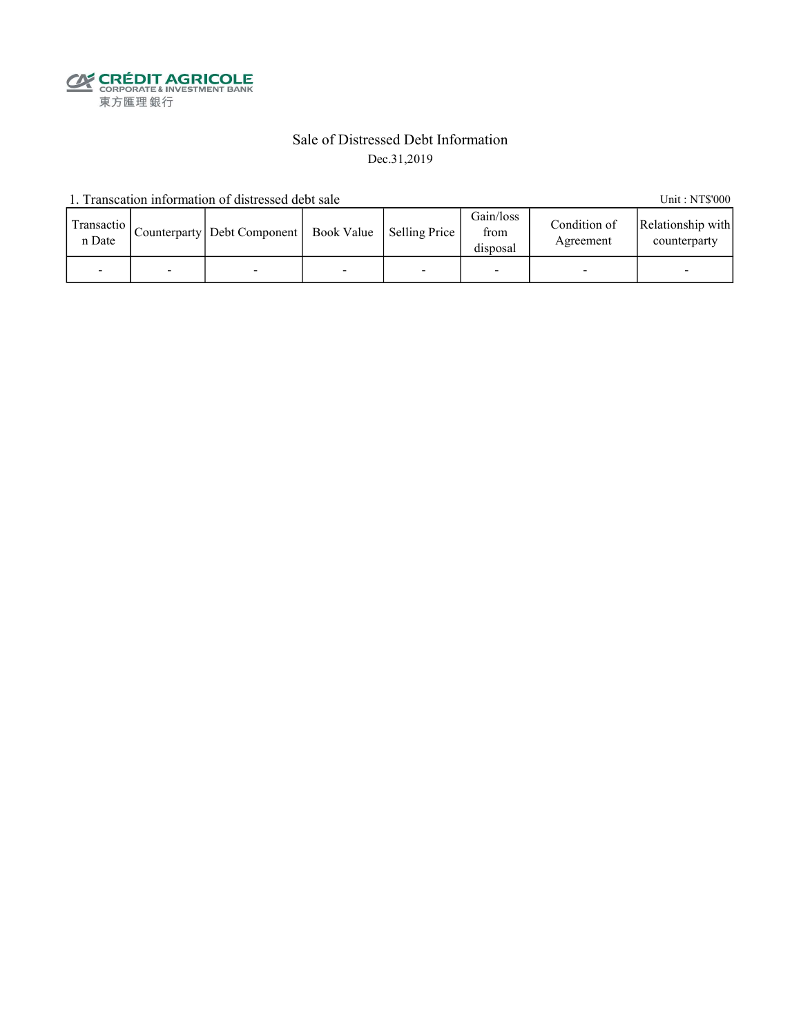**CALEDIT AGRICOLE**<br>
CORPORATE & INVESTMENT BANK<br>
東方匯理銀行

#### Sale of Distressed Debt Information Dec.31,2019

1. Transcation information of distressed debt sale Unit: NT\$'000

| Transactio  <br>n Date |   | Counterparty   Debt Component   Book Value   Selling Price |  | Gain/loss<br>from<br>disposal | Condition of<br>Agreement | Relationship with<br>counterparty |
|------------------------|---|------------------------------------------------------------|--|-------------------------------|---------------------------|-----------------------------------|
|                        | - |                                                            |  |                               |                           |                                   |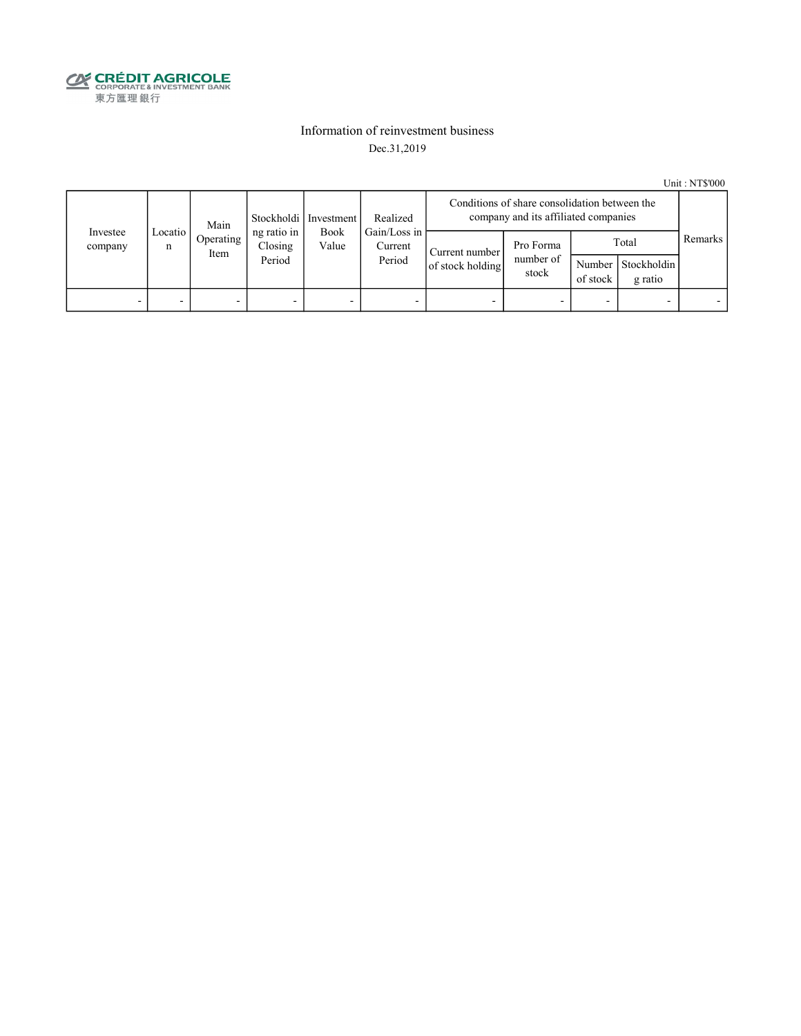

#### Information of reinvestment business Dec.31,2019

Unit : NT\$'000

|                     | Main         |                   |                                  | Stockholdi   Investment<br>Realized |                                   | Conditions of share consolidation between the<br>company and its affiliated companies |                                 |                    |                                   |  |
|---------------------|--------------|-------------------|----------------------------------|-------------------------------------|-----------------------------------|---------------------------------------------------------------------------------------|---------------------------------|--------------------|-----------------------------------|--|
| Investee<br>company | Locatio<br>n | Operating<br>Item | ng ratio in<br>Closing<br>Period | <b>Book</b><br>Value                | Gain/Loss in<br>Current<br>Period | Current number<br>of stock holding                                                    | Pro Forma<br>number of<br>stock | Number<br>of stock | Remarks  <br>Total<br>Stockholdin |  |
| -                   |              |                   | -                                | -                                   |                                   |                                                                                       |                                 |                    | g ratio                           |  |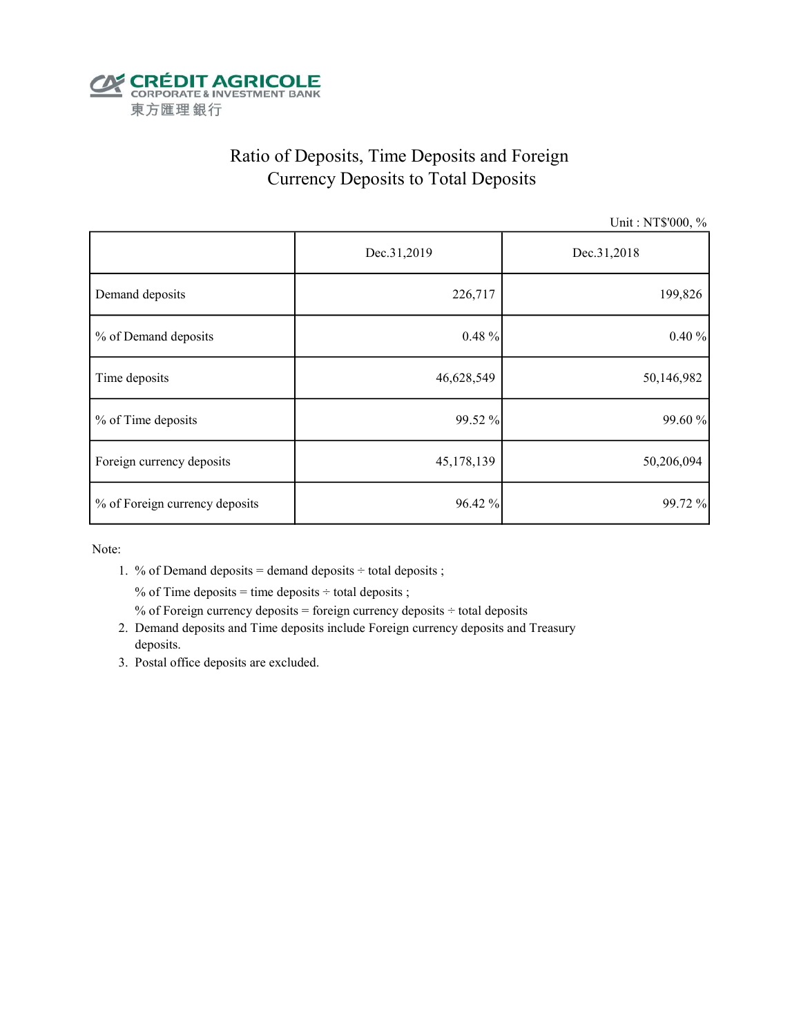

# Ratio of Deposits, Time Deposits and Foreign Currency Deposits to Total Deposits

Unit : NT\$'000, %

|                                | Dec.31,2019 | Dec.31,2018 |  |  |
|--------------------------------|-------------|-------------|--|--|
| Demand deposits                | 226,717     | 199,826     |  |  |
| % of Demand deposits           | $0.48 \%$   | 0.40%       |  |  |
| Time deposits                  | 46,628,549  | 50,146,982  |  |  |
| % of Time deposits             | 99.52 %     | 99.60 %     |  |  |
| Foreign currency deposits      | 45,178,139  | 50,206,094  |  |  |
| % of Foreign currency deposits | 96.42 %     | 99.72 %     |  |  |

Note:

1. % of Demand deposits = demand deposits  $\div$  total deposits ;

% of Time deposits = time deposits  $\div$  total deposits ;

% of Foreign currency deposits = foreign currency deposits  $\div$  total deposits

- 2. Demand deposits and Time deposits include Foreign currency deposits and Treasury deposits.
- 3. Postal office deposits are excluded.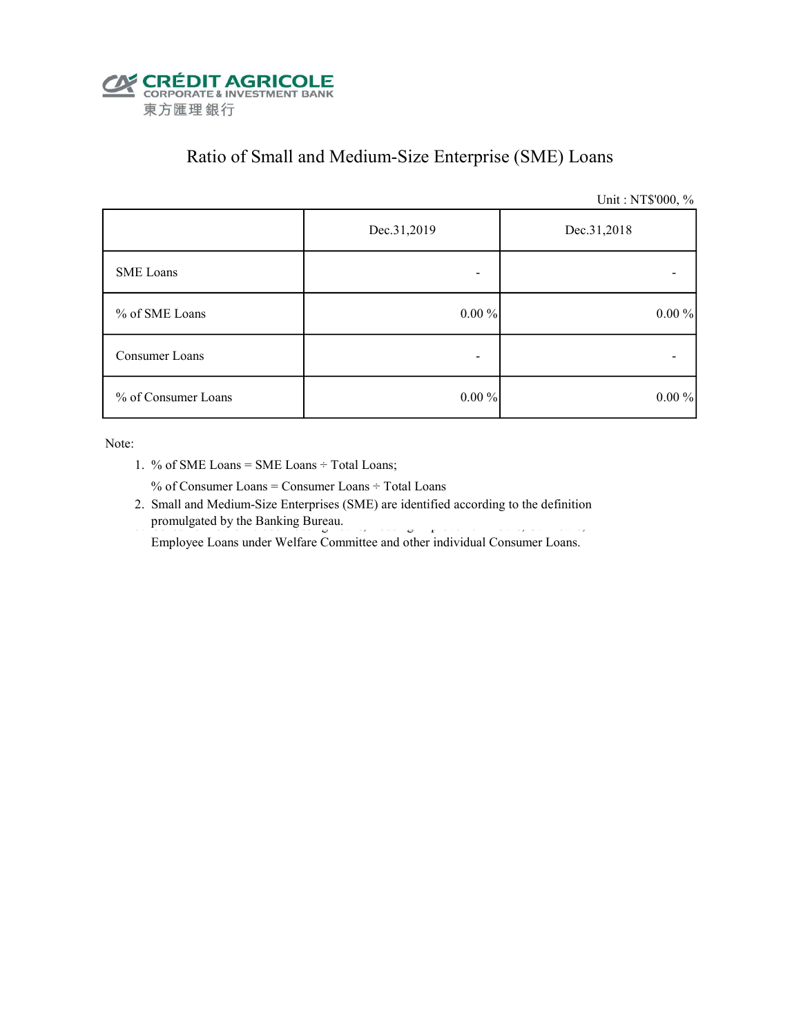

## Ratio of Small and Medium-Size Enterprise (SME) Loans

Unit : NT\$'000, %

|                     | Dec.31,2019 | Dec.31,2018 |  |  |
|---------------------|-------------|-------------|--|--|
| SME Loans           | -           |             |  |  |
| % of SME Loans      | $0.00\%$    | $0.00\%$    |  |  |
| Consumer Loans      | -           |             |  |  |
| % of Consumer Loans | $0.00 \%$   | $0.00\%$    |  |  |

Note:

1. % of SME Loans = SME Loans ÷ Total Loans;

% of Consumer Loans = Consumer Loans ÷ Total Loans

 2. Small and Medium-Size Enterprises (SME) are identified according to the definition promulgated by the Banking Bureau.

Employee Loans under Welfare Committee and other individual Consumer Loans.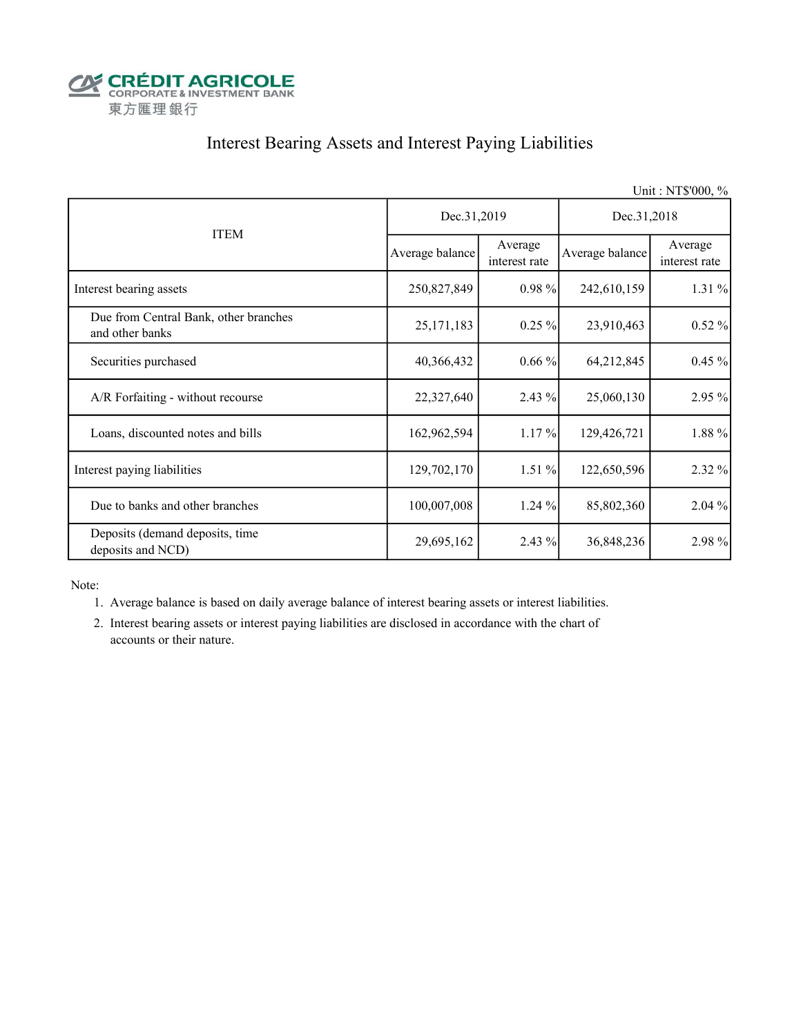

### Interest Bearing Assets and Interest Paying Liabilities

|                                                          |                 |                          |                 | Unit: NT\$'000, %        |  |
|----------------------------------------------------------|-----------------|--------------------------|-----------------|--------------------------|--|
|                                                          | Dec.31,2019     |                          | Dec.31,2018     |                          |  |
| <b>ITEM</b>                                              | Average balance | Average<br>interest rate | Average balance | Average<br>interest rate |  |
| Interest bearing assets                                  | 250,827,849     | $0.98\%$                 | 242,610,159     | 1.31 %                   |  |
| Due from Central Bank, other branches<br>and other banks | 25, 171, 183    | $0.25\%$                 | 23,910,463      | $0.52 \%$                |  |
| Securities purchased                                     | 40,366,432      | $0.66\%$                 | 64,212,845      | $0.45 \%$                |  |
| A/R Forfaiting - without recourse                        | 22,327,640      | $2.43\%$                 | 25,060,130      | 2.95 %                   |  |
| Loans, discounted notes and bills                        | 162,962,594     | 1.17%                    | 129,426,721     | 1.88 %                   |  |
| Interest paying liabilities                              | 129,702,170     | $1.51\%$                 | 122,650,596     | 2.32 %                   |  |
| Due to banks and other branches                          | 100,007,008     | 1.24 %                   | 85,802,360      | $2.04\%$                 |  |
| Deposits (demand deposits, time<br>deposits and NCD)     | 29,695,162      | 2.43 %                   | 36,848,236      | 2.98 %                   |  |

Note:

- 1. Average balance is based on daily average balance of interest bearing assets or interest liabilities.
- 2. Interest bearing assets or interest paying liabilities are disclosed in accordance with the chart of accounts or their nature.